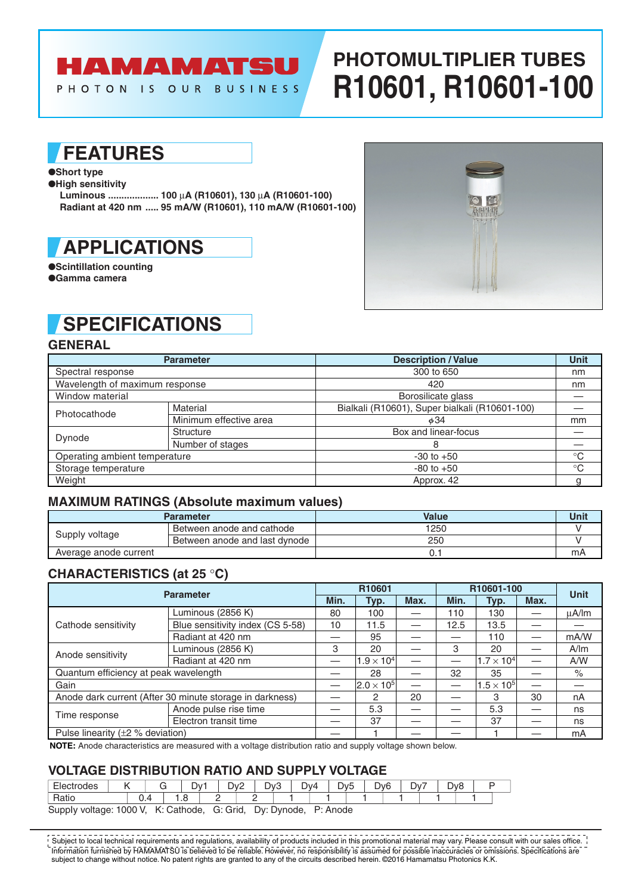# **HAMAMATSU**

PHOTON IS OUR BUSINESS

# **PHOTOMULTIPLIER TUBES R10601, R10601-100**

## **FEATURES**

#### ●**Short type**

●**High sensitivity**

**Luminous ................... 100** µ**A (R10601), 130** µ**A (R10601-100) Radiant at 420 nm ..... 95 mA/W (R10601), 110 mA/W (R10601-100)**



●**Scintillation counting** ●**Gamma camera**



## **SPECIFICATIONS**

### **GENERAL**

|                                | <b>Parameter</b>       | <b>Description / Value</b>                     | <b>Unit</b>     |
|--------------------------------|------------------------|------------------------------------------------|-----------------|
| Spectral response              |                        | 300 to 650                                     | nm              |
| Wavelength of maximum response |                        | 420                                            | nm              |
| Window material                |                        | Borosilicate glass                             |                 |
| Photocathode                   | Material               | Bialkali (R10601), Super bialkali (R10601-100) |                 |
|                                | Minimum effective area | $\phi$ 34                                      | mm              |
| Dynode                         | <b>Structure</b>       | Box and linear-focus                           |                 |
|                                | Number of stages       | 8                                              |                 |
| Operating ambient temperature  |                        | $-30$ to $+50$                                 | $^{\circ}C$     |
| Storage temperature            |                        | $-80$ to $+50$                                 | $\rm ^{\circ}C$ |
| Weight                         |                        | Approx. 42                                     |                 |

### **MAXIMUM RATINGS (Absolute maximum values)**

|                       | Parameter                     | Value | Unit |
|-----------------------|-------------------------------|-------|------|
| Supply voltage        | Between anode and cathode     | 1250  |      |
|                       | Between anode and last dynode | 250   |      |
| Average anode current |                               | U.I   | mА   |

### **CHARACTERISTICS (at 25** °**C)**

| <b>Parameter</b>                                         |                                  |    | R10601                |      | R10601-100 | <b>Unit</b>         |      |       |  |
|----------------------------------------------------------|----------------------------------|----|-----------------------|------|------------|---------------------|------|-------|--|
|                                                          |                                  |    | Typ.                  | Max. | Min.       | Typ.                | Max. |       |  |
|                                                          | Luminous (2856 K)                | 80 | 100                   |      | 110        | 130                 |      | μA/lm |  |
| Cathode sensitivity                                      | Blue sensitivity index (CS 5-58) | 10 | 11.5                  |      | 12.5       | 13.5                |      |       |  |
|                                                          | Radiant at 420 nm                |    | 95                    |      |            | 110                 |      | mA/W  |  |
| Anode sensitivity                                        | Luminous (2856 K)                | 3  | 20                    |      | 3          | 20                  |      | A/m   |  |
|                                                          | Radiant at 420 nm                |    | $1.9\times10^4$       |      |            | $1.7 \times 10^{4}$ |      | A/W   |  |
| Quantum efficiency at peak wavelength                    |                                  |    | 28                    |      | 32         | 35                  |      | $\%$  |  |
| Gain                                                     |                                  |    | $ 2.0 \times 10^{5} $ |      |            | $1.5 \times 10^5$   |      |       |  |
| Anode dark current (After 30 minute storage in darkness) |                                  |    | 2                     | 20   |            | 3                   | 30   | nA    |  |
|                                                          | Anode pulse rise time            |    | 5.3                   |      |            | 5.3                 |      | ns    |  |
| Time response                                            | Electron transit time            |    | 37                    |      |            | 37                  |      | ns    |  |
| Pulse linearity ( $\pm 2$ % deviation)                   |                                  |    |                       |      |            |                     |      | mA    |  |

**NOTE:** Anode characteristics are measured with a voltage distribution ratio and supply voltage shown below.

### **VOLTAGE DlSTRlBUTlON RATlO AND SUPPLY VOLTAGE**

| $\overline{\phantom{a}}$<br>ues                                                           |  |   | U۷.          | –        | ⊃∨′ | D <sub>v3</sub> |  | Dv4 | W <sub>F</sub> | - - | <b>Dv<sub>6</sub></b><br>້ | $\overline{\phantom{0}}$<br>- | -<br>$\mathcal{N}$ | $\overline{\phantom{a}}$<br>$\frac{1}{2}$<br>- | ∼ |  |
|-------------------------------------------------------------------------------------------|--|---|--------------|----------|-----|-----------------|--|-----|----------------|-----|----------------------------|-------------------------------|--------------------|------------------------------------------------|---|--|
| $\sim\cdot\cdot$                                                                          |  | . | -<br>$\cdot$ | <u>_</u> | -   |                 |  |     |                |     |                            |                               |                    |                                                |   |  |
| $\sim$ $\sim$ $\cdot$ $\cdot$<br>$\sim$ $\sim$ $\sim$ $\sim$<br>$\sim$ $\sim$ $\sim$<br>. |  |   |              |          |     |                 |  |     |                |     |                            |                               |                    |                                                |   |  |

SuppIy voltage: 1000 V, K: Cathode, G: Grid, Dy: Dynode, P: Anode

Information furnished by HAMAMATSU is believed to be reliable. However, no responsibility is assumed for possible inaccuracies or omissions. Specifications are subject to change without notice. No patent rights are granted to any of the circuits described herein. ©2016 Hamamatsu Photonics K.K. Subject to local technical requirements and regulations, availability of products included in this promotional material may vary. Please consult with our sales office.